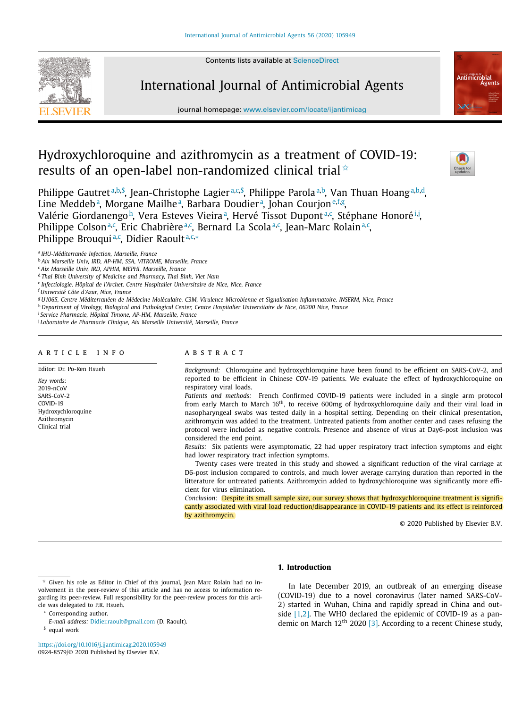Contents lists available at [ScienceDirect](http://www.ScienceDirect.com)



International Journal of Antimicrobial Agents

journal homepage: [www.elsevier.com/locate/ijantimicag](http://www.elsevier.com/locate/ijantimicag)

# Hydroxychloroquine and azithromycin as a treatment of COVID-19: results of an open-label non-randomized clinical trial  $*$



Philippe Gautret<sup>a,b,\$</sup>, Jean-Christophe Lagier<sup>a,c,\$</sup>, Philippe Parola<sup>a,b</sup>, Van Thuan Hoang<sup>a,b,d</sup>, Line Meddeb<sup>a</sup>, Morgane Mailhe<sup>a</sup>, Barbara Doudier<sup>a</sup>, Johan Courjon<sup>e,f,g</sup>, Valérie Giordanengo<sup>h</sup>, Vera Esteves Vieira<sup>a</sup>, Hervé Tissot Dupont<sup>a,c</sup>, Stéphane Honoré<sup>i,j</sup>, Philippe Colson<sup>a,c</sup>, Eric Chabrière<sup>a,c</sup>, Bernard La Scola<sup>a,c</sup>, Jean-Marc Rolain<sup>a,c</sup>, Philippe Brouqui<sup>a,c</sup>, Didier Raoult<sup>a,c,</sup>\*

<sup>a</sup> *IHU-Méditerranée Infection, Marseille, France*

<sup>c</sup> *Aix Marseille Univ, IRD, APHM, MEPHI, Marseille, France*

<sup>d</sup> *Thai Binh University of Medicine and Pharmacy, Thai Binh, Viet Nam*

<sup>e</sup> *Infectiologie, Hôpital de l'Archet, Centre Hospitalier Universitaire de Nice, Nice, France*

<sup>f</sup> *Université Côte d'Azur, Nice, France*

<sup>g</sup> U1065, Centre Méditerranéen de Médecine Moléculaire, C3M, Virulence Microbienne et Signalisation Inflammatoire, INSERM, Nice, France

h Department of Virology, Biological and Pathological Center, Centre Hospitalier Universitaire de Nice, 06200 Nice, France

<sup>i</sup> *Service Pharmacie, Hôpital Timone, AP-HM, Marseille, France*

<sup>j</sup> *Laboratoire de Pharmacie Clinique, Aix Marseille Université, Marseille, France*

# a r t i c l e i n f o

Editor: Dr. Po-Ren Hsueh

*Key words:* 2019-nCoV SARS-CoV-2 COVID-19 Hydroxychloroquine Azithromycin Clinical trial

# A B S T R A C T

*Background:* Chloroquine and hydroxychloroquine have been found to be efficient on SARS-CoV-2, and reported to be efficient in Chinese COV-19 patients. We evaluate the effect of hydroxychloroquine on respiratory viral loads.

*Patients and methods:* French Confirmed COVID-19 patients were included in a single arm protocol from early March to March 16th, to receive 600mg of hydroxychloroquine daily and their viral load in nasopharyngeal swabs was tested daily in a hospital setting. Depending on their clinical presentation, azithromycin was added to the treatment. Untreated patients from another center and cases refusing the protocol were included as negative controls. Presence and absence of virus at Day6-post inclusion was considered the end point.

*Results:* Six patients were asymptomatic, 22 had upper respiratory tract infection symptoms and eight had lower respiratory tract infection symptoms.

Twenty cases were treated in this study and showed a significant reduction of the viral carriage at D6-post inclusion compared to controls, and much lower average carrying duration than reported in the litterature for untreated patients. Azithromycin added to hydroxychloroquine was significantly more efficient for virus elimination.

*Conclusion:* Despite its small sample size, our survey shows that hydroxychloroquine treatment is significantly associated with viral load reduction/disappearance in COVID-19 patients and its effect is reinforced by azithromycin.

© 2020 Published by Elsevier B.V.

✩ Given his role as Editor in Chief of this journal, Jean Marc Rolain had no involvement in the peer-review of this article and has no access to information regarding its peer-review. Full responsibility for the peer-review process for this article was delegated to P.R. Hsueh.

Corresponding author.

*E-mail address:* [Didier.raoult@gmail.com](mailto:Didier.raoult@gmail.com) (D. Raoult).

\$ equal work

<https://doi.org/10.1016/j.ijantimicag.2020.105949> 0924-8579/© 2020 Published by Elsevier B.V.

**1. Introduction**

In late December 2019, an outbreak of an emerging disease (COVID-19) due to a novel coronavirus (later named SARS-CoV-2) started in Wuhan, China and rapidly spread in China and outside [\[1,2\].](#page-5-0) The WHO declared the epidemic of COVID-19 as a pan-demic on March 12<sup>th</sup> 2020 [\[3\].](#page-5-0) According to a recent Chinese study,

<sup>b</sup> *Aix Marseille Univ, IRD, AP-HM, SSA, VITROME, Marseille, France*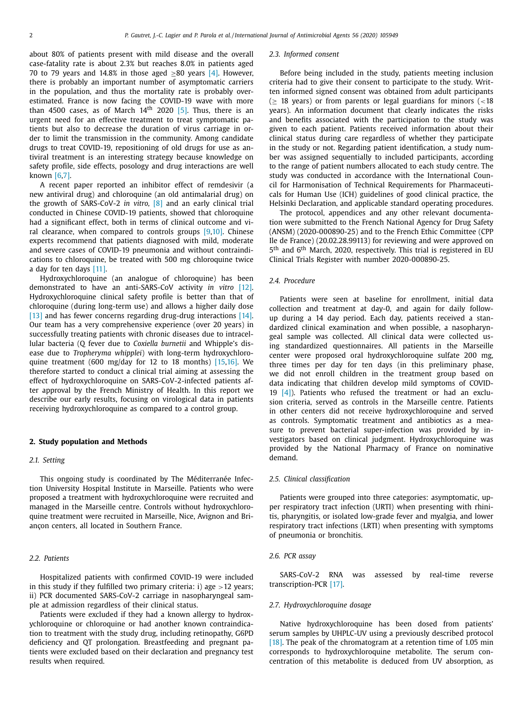about 80% of patients present with mild disease and the overall case-fatality rate is about 2.3% but reaches 8.0% in patients aged 70 to 79 years and 14.8% in those aged >80 years  $[4]$ . However, there is probably an important number of asymptomatic carriers in the population, and thus the mortality rate is probably overestimated. France is now facing the COVID-19 wave with more than 4500 cases, as of March  $14<sup>th</sup>$  2020 [\[5\].](#page-5-0) Thus, there is an urgent need for an effective treatment to treat symptomatic patients but also to decrease the duration of virus carriage in order to limit the transmission in the community. Among candidate drugs to treat COVID-19, repositioning of old drugs for use as antiviral treatment is an interesting strategy because knowledge on safety profile, side effects, posology and drug interactions are well known [\[6,7\].](#page-5-0)

A recent paper reported an inhibitor effect of remdesivir (a new antiviral drug) and chloroquine (an old antimalarial drug) on the growth of SARS-CoV-2 *in vitro,* [\[8\]](#page-5-0) and an early clinical trial conducted in Chinese COVID-19 patients, showed that chloroquine had a significant effect, both in terms of clinical outcome and viral clearance, when compared to controls groups [\[9,10\].](#page-5-0) Chinese experts recommend that patients diagnosed with mild, moderate and severe cases of COVID-19 pneumonia and without contraindications to chloroquine, be treated with 500 mg chloroquine twice a day for ten days [\[11\].](#page-5-0)

Hydroxychloroquine (an analogue of chloroquine) has been demonstrated to have an anti-SARS-CoV activity *in vitro* [\[12\].](#page-5-0) Hydroxychloroquine clinical safety profile is better than that of chloroquine (during long-term use) and allows a higher daily dose [\[13\]](#page-5-0) and has fewer concerns regarding drug-drug interactions [\[14\].](#page-5-0) Our team has a very comprehensive experience (over 20 years) in successfully treating patients with chronic diseases due to intracellular bacteria (Q fever due to *Coxiella burnetii* and Whipple's disease due to *Tropheryma whipplei*) with long-term hydroxychloroquine treatment (600 mg/day for 12 to 18 months) [\[15,16\].](#page-5-0) We therefore started to conduct a clinical trial aiming at assessing the effect of hydroxychloroquine on SARS-CoV-2-infected patients after approval by the French Ministry of Health. In this report we describe our early results, focusing on virological data in patients receiving hydroxychloroquine as compared to a control group.

### **2. Study population and Methods**

# *2.1. Setting*

This ongoing study is coordinated by The Méditerranée Infection University Hospital Institute in Marseille. Patients who were proposed a treatment with hydroxychloroquine were recruited and managed in the Marseille centre. Controls without hydroxychloroquine treatment were recruited in Marseille, Nice, Avignon and Briançon centers, all located in Southern France.

# *2.2. Patients*

Hospitalized patients with confirmed COVID-19 were included in this study if they fulfilled two primary criteria: i) age  $>12$  years; ii) PCR documented SARS-CoV-2 carriage in nasopharyngeal sample at admission regardless of their clinical status.

Patients were excluded if they had a known allergy to hydroxychloroquine or chloroquine or had another known contraindication to treatment with the study drug, including retinopathy, G6PD deficiency and QT prolongation. Breastfeeding and pregnant patients were excluded based on their declaration and pregnancy test results when required.

#### *2.3. Informed consent*

Before being included in the study, patients meeting inclusion criteria had to give their consent to participate to the study. Written informed signed consent was obtained from adult participants ( $\geq$  18 years) or from parents or legal guardians for minors (<18 years). An information document that clearly indicates the risks and benefits associated with the participation to the study was given to each patient. Patients received information about their clinical status during care regardless of whether they participate in the study or not. Regarding patient identification, a study number was assigned sequentially to included participants, according to the range of patient numbers allocated to each study centre. The study was conducted in accordance with the International Council for Harmonisation of Technical Requirements for Pharmaceuticals for Human Use (ICH) guidelines of good clinical practice, the Helsinki Declaration, and applicable standard operating procedures.

The protocol, appendices and any other relevant documentation were submitted to the French National Agency for Drug Safety (ANSM) (2020-000890-25) and to the French Ethic Committee (CPP Ile de France) (20.02.28.99113) for reviewing and were approved on 5th and 6th March, 2020, respectively. This trial is registered in EU Clinical Trials Register with number 2020-000890-25.

# *2.4. Procedure*

Patients were seen at baseline for enrollment, initial data collection and treatment at day-0, and again for daily followup during a 14 day period. Each day, patients received a standardized clinical examination and when possible, a nasopharyngeal sample was collected. All clinical data were collected using standardized questionnaires. All patients in the Marseille center were proposed oral hydroxychloroquine sulfate 200 mg, three times per day for ten days (in this preliminary phase, we did not enroll children in the treatment group based on data indicating that children develop mild symptoms of COVID-19 [\[4\]\)](#page-5-0). Patients who refused the treatment or had an exclusion criteria, served as controls in the Marseille centre. Patients in other centers did not receive hydroxychloroquine and served as controls. Symptomatic treatment and antibiotics as a measure to prevent bacterial super-infection was provided by investigators based on clinical judgment. Hydroxychloroquine was provided by the National Pharmacy of France on nominative demand.

#### *2.5. Clinical classification*

Patients were grouped into three categories: asymptomatic, upper respiratory tract infection (URTI) when presenting with rhinitis, pharyngitis, or isolated low-grade fever and myalgia, and lower respiratory tract infections (LRTI) when presenting with symptoms of pneumonia or bronchitis.

#### *2.6. PCR assay*

SARS-CoV-2 RNA was assessed by real-time reverse transcription-PCR [\[17\].](#page-5-0)

### *2.7. Hydroxychloroquine dosage*

Native hydroxychloroquine has been dosed from patients' serum samples by UHPLC-UV using a previously described protocol [\[18\].](#page-5-0) The peak of the chromatogram at a retention time of 1.05 min corresponds to hydroxychloroquine metabolite. The serum concentration of this metabolite is deduced from UV absorption, as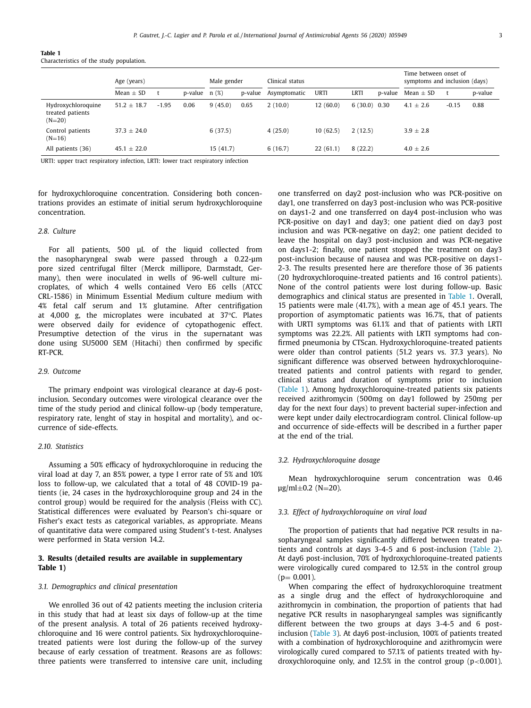| Table 1                                  |  |  |
|------------------------------------------|--|--|
| Characteristics of the study population. |  |  |

|                                                    | Age (years)     |         |                    | Male gender |         | Clinical status |             |                |         | Time between onset of<br>symptoms and inclusion (days) |         |         |
|----------------------------------------------------|-----------------|---------|--------------------|-------------|---------|-----------------|-------------|----------------|---------|--------------------------------------------------------|---------|---------|
|                                                    | Mean $\pm$ SD   |         | $p-value \t n(\%)$ |             | p-value | Asymptomatic    | <b>URTI</b> | LRTI           | p-value | Mean $\pm$ SD                                          |         | p-value |
| Hydroxychloroquine<br>treated patients<br>$(N=20)$ | $51.2 \pm 18.7$ | $-1.95$ | 0.06               | 9(45.0)     | 0.65    | 2(10.0)         | 12(60.0)    | $6(30.0)$ 0.30 |         | $4.1 \pm 2.6$                                          | $-0.15$ | 0.88    |
| Control patients<br>$(N=16)$                       | $37.3 + 24.0$   |         |                    | 6(37.5)     |         | 4(25.0)         | 10(62.5)    | 2(12.5)        |         | $3.9 \pm 2.8$                                          |         |         |
| All patients (36)                                  | $45.1 \pm 22.0$ |         |                    | 15(41.7)    |         | 6(16.7)         | 22(61.1)    | 8(22.2)        |         | $4.0 \pm 2.6$                                          |         |         |

URTI: upper tract respiratory infection, LRTI: lower tract respiratory infection

for hydroxychloroquine concentration. Considering both concentrations provides an estimate of initial serum hydroxychloroquine concentration.

# *2.8. Culture*

For all patients, 500 μL of the liquid collected from the nasopharyngeal swab were passed through a 0.22-μm pore sized centrifugal filter (Merck millipore, Darmstadt, Germany), then were inoculated in wells of 96-well culture microplates, of which 4 wells contained Vero E6 cells (ATCC CRL-1586) in Minimum Essential Medium culture medium with 4% fetal calf serum and 1% glutamine. After centrifigation at 4,000 g, the microplates were incubated at 37°C. Plates were observed daily for evidence of cytopathogenic effect. Presumptive detection of the virus in the supernatant was done using SU5000 SEM (Hitachi) then confirmed by specific RT-PCR.

# *2.9. Outcome*

The primary endpoint was virological clearance at day-6 postinclusion. Secondary outcomes were virological clearance over the time of the study period and clinical follow-up (body temperature, respiratory rate, lenght of stay in hospital and mortality), and occurrence of side-effects.

# *2.10. Statistics*

Assuming a 50% efficacy of hydroxychloroquine in reducing the viral load at day 7, an 85% power, a type I error rate of 5% and 10% loss to follow-up, we calculated that a total of 48 COVID-19 patients (ie, 24 cases in the hydroxychloroquine group and 24 in the control group) would be required for the analysis (Fleiss with CC). Statistical differences were evaluated by Pearson's chi-square or Fisher's exact tests as categorical variables, as appropriate. Means of quantitative data were compared using Student's t-test. Analyses were performed in Stata version 14.2.

# **3. Results (detailed results are available in supplementary Table 1)**

### *3.1. Demographics and clinical presentation*

We enrolled 36 out of 42 patients meeting the inclusion criteria in this study that had at least six days of follow-up at the time of the present analysis. A total of 26 patients received hydroxychloroquine and 16 were control patients. Six hydroxychloroquinetreated patients were lost during the follow-up of the survey because of early cessation of treatment. Reasons are as follows: three patients were transferred to intensive care unit, including one transferred on day2 post-inclusion who was PCR-positive on day1, one transferred on day3 post-inclusion who was PCR-positive on days1-2 and one transferred on day4 post-inclusion who was PCR-positive on day1 and day3; one patient died on day3 post inclusion and was PCR-negative on day2; one patient decided to leave the hospital on day3 post-inclusion and was PCR-negative on days1-2; finally, one patient stopped the treatment on day3 post-inclusion because of nausea and was PCR-positive on days1- 2-3. The results presented here are therefore those of 36 patients (20 hydroxychloroquine-treated patients and 16 control patients). None of the control patients were lost during follow-up. Basic demographics and clinical status are presented in Table 1. Overall, 15 patients were male (41.7%), with a mean age of 45.1 years. The proportion of asymptomatic patients was 16.7%, that of patients with URTI symptoms was 61.1% and that of patients with LRTI symptoms was 22.2%. All patients with LRTI symptoms had confirmed pneumonia by CTScan. Hydroxychloroquine-treated patients were older than control patients (51.2 years vs. 37.3 years). No significant difference was observed between hydroxychloroquinetreated patients and control patients with regard to gender, clinical status and duration of symptoms prior to inclusion (Table 1). Among hydroxychloroquine-treated patients six patients received azithromycin (500mg on day1 followed by 250mg per day for the next four days) to prevent bacterial super-infection and were kept under daily electrocardiogram control. Clinical follow-up and occurrence of side-effects will be described in a further paper at the end of the trial.

# *3.2. Hydroxychloroquine dosage*

Mean hydroxychloroquine serum concentration was 0.46 μg/ml $±0.2$  (N=20).

# *3.3. Effect of hydroxychloroquine on viral load*

The proportion of patients that had negative PCR results in nasopharyngeal samples significantly differed between treated patients and controls at days 3-4-5 and 6 post-inclusion [\(Table](#page-3-0) 2). At day6 post-inclusion, 70% of hydroxychloroquine-treated patients were virologically cured compared to 12.5% in the control group  $(p= 0.001)$ .

When comparing the effect of hydroxychloroquine treatment as a single drug and the effect of hydroxychloroquine and azithromycin in combination, the proportion of patients that had negative PCR results in nasopharyngeal samples was significantly different between the two groups at days 3-4-5 and 6 postinclusion [\(Table](#page-3-0) 3). At day6 post-inclusion, 100% of patients treated with a combination of hydroxychloroquine and azithromycin were virologically cured compared to 57.1% of patients treated with hydroxychloroquine only, and 12.5% in the control group ( $p < 0.001$ ).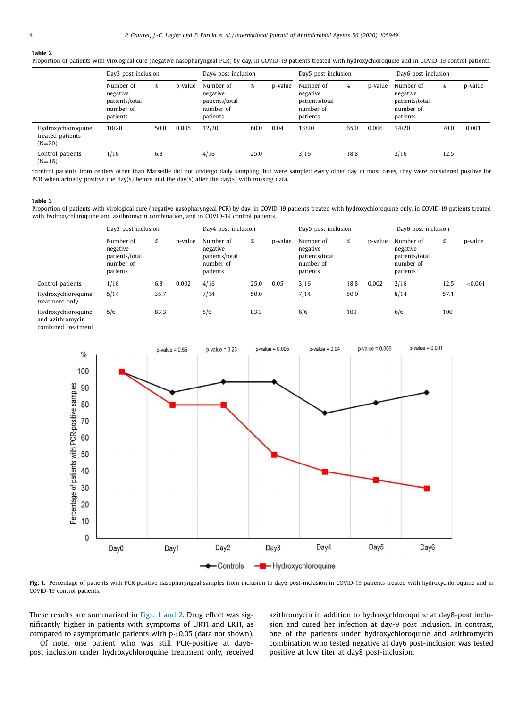#### <span id="page-3-0"></span>**Table 2**

Proportion of patients with virological cure (negative nasopharyngeal PCR) by day, in COVID-19 patients treated with hydroxychloroquine and in COVID-19 control patients.

|                                                    | Day3 post inclusion                                              |      |         | Day4 post inclusion                                              |      |         | Day5 post inclusion                                              |      |         | Day6 post inclusion                                              |      |         |
|----------------------------------------------------|------------------------------------------------------------------|------|---------|------------------------------------------------------------------|------|---------|------------------------------------------------------------------|------|---------|------------------------------------------------------------------|------|---------|
|                                                    | Number of<br>negative<br>patients/total<br>number of<br>patients | %    | p-value | Number of<br>negative<br>patients/total<br>number of<br>patients | %    | p-value | Number of<br>negative<br>patients/total<br>number of<br>patients | %    | p-value | Number of<br>negative<br>patients/total<br>number of<br>patients | %    | p-value |
| Hydroxychloroquine<br>treated patients<br>$(N=20)$ | 10/20                                                            | 50.0 | 0.005   | 12/20                                                            | 60.0 | 0.04    | 13/20                                                            | 65.0 | 0.006   | 14/20                                                            | 70.0 | 0.001   |
| Control patients<br>$(N=16)$                       | 1/16                                                             | 6.3  |         | 4/16                                                             | 25.0 |         | 3/16                                                             | 18.8 |         | 2/16                                                             | 12.5 |         |

acontrol patients from centers other than Marseille did not undergo daily sampling, but were sampled every other day in most cases, they were considered positive for PCR when actually positive the day(s) before and the day(s) after the day(s) with missing data.

#### **Table 3**

Proportion of patients with virological cure (negative nasopharyngeal PCR) by day, in COVID-19 patients treated with hydroxychloroquine only, in COVID-19 patients treated with hydroxychloroquine and azithromycin combination, and in COVID-19 control patients.

|                                                              | Day3 post inclusion                                              |      |         | Day4 post inclusion                                              |      |         | Day5 post inclusion                                              |      |         | Day6 post inclusion                                              |      |            |
|--------------------------------------------------------------|------------------------------------------------------------------|------|---------|------------------------------------------------------------------|------|---------|------------------------------------------------------------------|------|---------|------------------------------------------------------------------|------|------------|
|                                                              | Number of<br>negative<br>patients/total<br>number of<br>patients | %    | p-value | Number of<br>negative<br>patients/total<br>number of<br>patients | %    | p-value | Number of<br>negative<br>patients/total<br>number of<br>patients | %    | p-value | Number of<br>negative<br>patients/total<br>number of<br>patients | %    | p-value    |
| Control patients                                             | 1/16                                                             | 6.3  | 0.002   | 4/16                                                             | 25.0 | 0.05    | 3/16                                                             | 18.8 | 0.002   | 2/16                                                             | 12.5 | ${<}0.001$ |
| Hydroxychloroquine<br>treatment only                         | 5/14                                                             | 35.7 |         | 7/14                                                             | 50.0 |         | 7/14                                                             | 50.0 |         | 8/14                                                             | 57.1 |            |
| Hydroxychloroquine<br>and azithromycin<br>combined treatment | 5/6                                                              | 83.3 |         | 5/6                                                              | 83.3 |         | 6/6                                                              | 100  |         | 6/6                                                              | 100  |            |



Fig. 1. Percentage of patients with PCR-positive nasopharyngeal samples from inclusion to day6 post-inclusion in COVID-19 patients treated with hydroxychloroquine and in COVID-19 control patients.

These results are summarized in Figs. 1 and 2. Drug effect was significantly higher in patients with symptoms of URTI and LRTI, as compared to asymptomatic patients with  $p<0.05$  (data not shown).

Of note, one patient who was still PCR-positive at day6 post inclusion under hydroxychloroquine treatment only, received azithromycin in addition to hydroxychloroquine at day8-post inclusion and cured her infection at day-9 post inclusion. In contrast, one of the patients under hydroxychloroquine and azithromycin combination who tested negative at day6 post-inclusion was tested positive at low titer at day8 post-inclusion.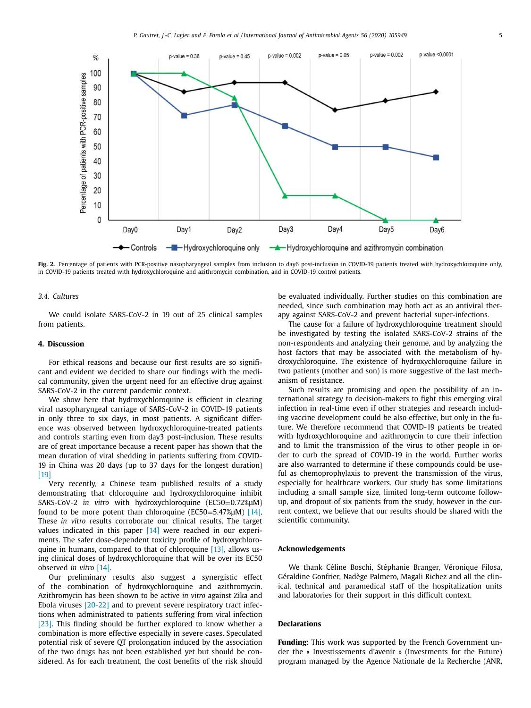

**Fig. 2.** Percentage of patients with PCR-positive nasopharyngeal samples from inclusion to day6 post-inclusion in COVID-19 patients treated with hydroxychloroquine only, in COVID-19 patients treated with hydroxychloroquine and azithromycin combination, and in COVID-19 control patients.

### *3.4. Cultures*

We could isolate SARS-CoV-2 in 19 out of 25 clinical samples from patients.

#### **4. Discussion**

For ethical reasons and because our first results are so significant and evident we decided to share our findings with the medical community, given the urgent need for an effective drug against SARS-CoV-2 in the current pandemic context.

We show here that hydroxychloroquine is efficient in clearing viral nasopharyngeal carriage of SARS-CoV-2 in COVID-19 patients in only three to six days, in most patients. A significant difference was observed between hydroxychloroquine-treated patients and controls starting even from day3 post-inclusion. These results are of great importance because a recent paper has shown that the mean duration of viral shedding in patients suffering from COVID-19 in China was 20 days (up to 37 days for the longest duration)  $[19]$ 

Very recently, a Chinese team published results of a study demonstrating that chloroquine and hydroxychloroquine inhibit SARS-CoV-2 *in vitro* with hydroxychloroquine (EC50=0.72%μM) found to be more potent than chloroquine (EC50=5.47% $\mu$ M) [\[14\].](#page-5-0) These *in vitro* results corroborate our clinical results. The target values indicated in this paper [\[14\]](#page-5-0) were reached in our experiments. The safer dose-dependent toxicity profile of hydroxychloroquine in humans, compared to that of chloroquine [\[13\],](#page-5-0) allows using clinical doses of hydroxychloroquine that will be over its EC50 observed *in vitro* [\[14\].](#page-5-0)

Our preliminary results also suggest a synergistic effect of the combination of hydroxychloroquine and azithromycin. Azithromycin has been shown to be active *in vitro* against Zika and Ebola viruses [\[20-22\]](#page-5-0) and to prevent severe respiratory tract infections when administrated to patients suffering from viral infection [\[23\].](#page-5-0) This finding should be further explored to know whether a combination is more effective especially in severe cases. Speculated potential risk of severe QT prolongation induced by the association of the two drugs has not been established yet but should be considered. As for each treatment, the cost benefits of the risk should

be evaluated individually. Further studies on this combination are needed, since such combination may both act as an antiviral therapy against SARS-CoV-2 and prevent bacterial super-infections.

The cause for a failure of hydroxychloroquine treatment should be investigated by testing the isolated SARS-CoV-2 strains of the non-respondents and analyzing their genome, and by analyzing the host factors that may be associated with the metabolism of hydroxychloroquine. The existence of hydroxychloroquine failure in two patients (mother and son) is more suggestive of the last mechanism of resistance.

Such results are promising and open the possibility of an international strategy to decision-makers to fight this emerging viral infection in real-time even if other strategies and research including vaccine development could be also effective, but only in the future. We therefore recommend that COVID-19 patients be treated with hydroxychloroquine and azithromycin to cure their infection and to limit the transmission of the virus to other people in order to curb the spread of COVID-19 in the world. Further works are also warranted to determine if these compounds could be useful as chemoprophylaxis to prevent the transmission of the virus, especially for healthcare workers. Our study has some limitations including a small sample size, limited long-term outcome followup, and dropout of six patients from the study, however in the current context, we believe that our results should be shared with the scientific community.

#### **Acknowledgements**

We thank Céline Boschi, Stéphanie Branger, Véronique Filosa, Géraldine Gonfrier, Nadège Palmero, Magali Richez and all the clinical, technical and paramedical staff of the hospitalization units and laboratories for their support in this difficult context.

### **Declarations**

**Funding:** This work was supported by the French Government under the « Investissements d'avenir » (Investments for the Future) program managed by the Agence Nationale de la Recherche (ANR,